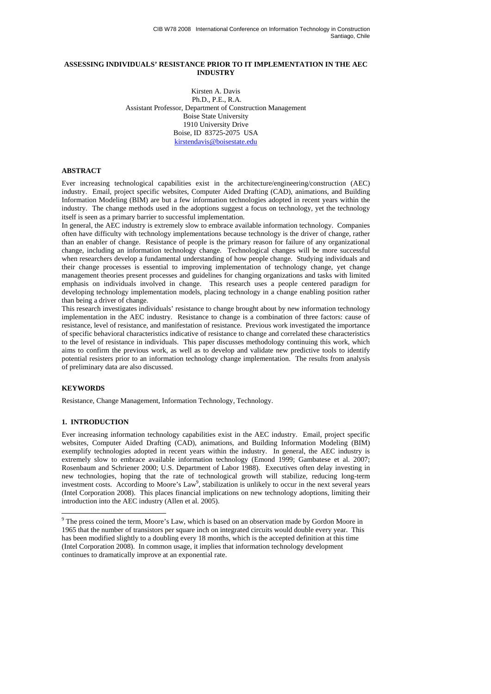### **ASSESSING INDIVIDUALS' RESISTANCE PRIOR TO IT IMPLEMENTATION IN THE AEC INDUSTRY**

Kirsten A. Davis Ph.D., P.E., R.A. Assistant Professor, Department of Construction Management Boise State University 1910 University Drive Boise, ID 83725-2075 USA kirstendavis@boisestate.edu

### **ABSTRACT**

Ever increasing technological capabilities exist in the architecture/engineering/construction (AEC) industry. Email, project specific websites, Computer Aided Drafting (CAD), animations, and Building Information Modeling (BIM) are but a few information technologies adopted in recent years within the industry. The change methods used in the adoptions suggest a focus on technology, yet the technology itself is seen as a primary barrier to successful implementation.

In general, the AEC industry is extremely slow to embrace available information technology. Companies often have difficulty with technology implementations because technology is the driver of change, rather than an enabler of change. Resistance of people is the primary reason for failure of any organizational change, including an information technology change. Technological changes will be more successful when researchers develop a fundamental understanding of how people change. Studying individuals and their change processes is essential to improving implementation of technology change, yet change management theories present processes and guidelines for changing organizations and tasks with limited emphasis on individuals involved in change. This research uses a people centered paradigm for developing technology implementation models, placing technology in a change enabling position rather than being a driver of change.

This research investigates individuals' resistance to change brought about by new information technology implementation in the AEC industry. Resistance to change is a combination of three factors: cause of resistance, level of resistance, and manifestation of resistance. Previous work investigated the importance of specific behavioral characteristics indicative of resistance to change and correlated these characteristics to the level of resistance in individuals. This paper discusses methodology continuing this work, which aims to confirm the previous work, as well as to develop and validate new predictive tools to identify potential resisters prior to an information technology change implementation. The results from analysis of preliminary data are also discussed.

#### **KEYWORDS**

 $\overline{a}$ 

Resistance, Change Management, Information Technology, Technology.

### **1. INTRODUCTION**

Ever increasing information technology capabilities exist in the AEC industry. Email, project specific websites, Computer Aided Drafting (CAD), animations, and Building Information Modeling (BIM) exemplify technologies adopted in recent years within the industry. In general, the AEC industry is extremely slow to embrace available information technology (Emond 1999; Gambatese et al. 2007; Rosenbaum and Schriener 2000; U.S. Department of Labor 1988). Executives often delay investing in new technologies, hoping that the rate of technological growth will stabilize, reducing long-term investment costs. According to Moore's Law<sup>9</sup>, stabilization is unlikely to occur in the next several years (Intel Corporation 2008). This places financial implications on new technology adoptions, limiting their introduction into the AEC industry (Allen et al. 2005).

<sup>&</sup>lt;sup>9</sup> The press coined the term, Moore's Law, which is based on an observation made by Gordon Moore in 1965 that the number of transistors per square inch on integrated circuits would double every year. This has been modified slightly to a doubling every 18 months, which is the accepted definition at this time (Intel Corporation 2008). In common usage, it implies that information technology development continues to dramatically improve at an exponential rate.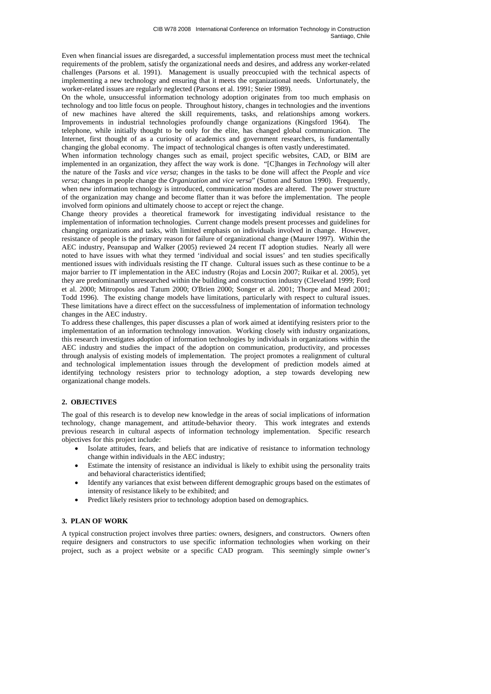Even when financial issues are disregarded, a successful implementation process must meet the technical requirements of the problem, satisfy the organizational needs and desires, and address any worker-related challenges (Parsons et al. 1991). Management is usually preoccupied with the technical aspects of implementing a new technology and ensuring that it meets the organizational needs. Unfortunately, the worker-related issues are regularly neglected (Parsons et al. 1991; Steier 1989).

On the whole, unsuccessful information technology adoption originates from too much emphasis on technology and too little focus on people. Throughout history, changes in technologies and the inventions of new machines have altered the skill requirements, tasks, and relationships among workers. Improvements in industrial technologies profoundly change organizations (Kingsford 1964). The telephone, while initially thought to be only for the elite, has changed global communication. The Internet, first thought of as a curiosity of academics and government researchers, is fundamentally changing the global economy. The impact of technological changes is often vastly underestimated.

When information technology changes such as email, project specific websites, CAD, or BIM are implemented in an organization, they affect the way work is done. "[C]hanges in *Technology* will alter the nature of the *Tasks* and *vice versa*; changes in the tasks to be done will affect the *People* and *vice versa*; changes in people change the *Organization* and *vice versa*" (Sutton and Sutton 1990). Frequently, when new information technology is introduced, communication modes are altered. The power structure of the organization may change and become flatter than it was before the implementation. The people involved form opinions and ultimately choose to accept or reject the change.

Change theory provides a theoretical framework for investigating individual resistance to the implementation of information technologies. Current change models present processes and guidelines for changing organizations and tasks, with limited emphasis on individuals involved in change. However, resistance of people is the primary reason for failure of organizational change (Maurer 1997). Within the AEC industry, Peansupap and Walker (2005) reviewed 24 recent IT adoption studies. Nearly all were noted to have issues with what they termed 'individual and social issues' and ten studies specifically mentioned issues with individuals resisting the IT change. Cultural issues such as these continue to be a major barrier to IT implementation in the AEC industry (Rojas and Locsin 2007; Ruikar et al. 2005), yet they are predominantly unresearched within the building and construction industry (Cleveland 1999; Ford et al. 2000; Mitropoulos and Tatum 2000; O'Brien 2000; Songer et al. 2001; Thorpe and Mead 2001; Todd 1996). The existing change models have limitations, particularly with respect to cultural issues. These limitations have a direct effect on the successfulness of implementation of information technology changes in the AEC industry.

To address these challenges, this paper discusses a plan of work aimed at identifying resisters prior to the implementation of an information technology innovation. Working closely with industry organizations, this research investigates adoption of information technologies by individuals in organizations within the AEC industry and studies the impact of the adoption on communication, productivity, and processes through analysis of existing models of implementation. The project promotes a realignment of cultural and technological implementation issues through the development of prediction models aimed at identifying technology resisters prior to technology adoption, a step towards developing new organizational change models.

# **2. OBJECTIVES**

The goal of this research is to develop new knowledge in the areas of social implications of information technology, change management, and attitude-behavior theory. This work integrates and extends previous research in cultural aspects of information technology implementation. Specific research objectives for this project include:

- Isolate attitudes, fears, and beliefs that are indicative of resistance to information technology change within individuals in the AEC industry;
- Estimate the intensity of resistance an individual is likely to exhibit using the personality traits and behavioral characteristics identified;
- Identify any variances that exist between different demographic groups based on the estimates of intensity of resistance likely to be exhibited; and
- Predict likely resisters prior to technology adoption based on demographics.

## **3. PLAN OF WORK**

A typical construction project involves three parties: owners, designers, and constructors. Owners often require designers and constructors to use specific information technologies when working on their project, such as a project website or a specific CAD program. This seemingly simple owner's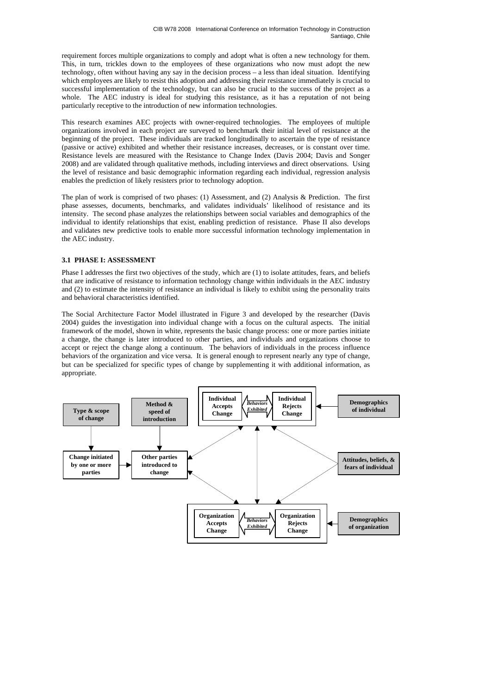requirement forces multiple organizations to comply and adopt what is often a new technology for them. This, in turn, trickles down to the employees of these organizations who now must adopt the new technology, often without having any say in the decision process – a less than ideal situation. Identifying which employees are likely to resist this adoption and addressing their resistance immediately is crucial to successful implementation of the technology, but can also be crucial to the success of the project as a whole. The AEC industry is ideal for studying this resistance, as it has a reputation of not being particularly receptive to the introduction of new information technologies.

This research examines AEC projects with owner-required technologies. The employees of multiple organizations involved in each project are surveyed to benchmark their initial level of resistance at the beginning of the project. These individuals are tracked longitudinally to ascertain the type of resistance (passive or active) exhibited and whether their resistance increases, decreases, or is constant over time. Resistance levels are measured with the Resistance to Change Index (Davis 2004; Davis and Songer 2008) and are validated through qualitative methods, including interviews and direct observations. Using the level of resistance and basic demographic information regarding each individual, regression analysis enables the prediction of likely resisters prior to technology adoption.

The plan of work is comprised of two phases: (1) Assessment, and (2) Analysis & Prediction. The first phase assesses, documents, benchmarks, and validates individuals' likelihood of resistance and its intensity. The second phase analyzes the relationships between social variables and demographics of the individual to identify relationships that exist, enabling prediction of resistance. Phase II also develops and validates new predictive tools to enable more successful information technology implementation in the AEC industry.

# **3.1 PHASE I: ASSESSMENT**

Phase I addresses the first two objectives of the study, which are (1) to isolate attitudes, fears, and beliefs that are indicative of resistance to information technology change within individuals in the AEC industry and (2) to estimate the intensity of resistance an individual is likely to exhibit using the personality traits and behavioral characteristics identified.

The Social Architecture Factor Model illustrated in Figure 3 and developed by the researcher (Davis 2004) guides the investigation into individual change with a focus on the cultural aspects. The initial framework of the model, shown in white, represents the basic change process: one or more parties initiate a change, the change is later introduced to other parties, and individuals and organizations choose to accept or reject the change along a continuum. The behaviors of individuals in the process influence behaviors of the organization and vice versa. It is general enough to represent nearly any type of change, but can be specialized for specific types of change by supplementing it with additional information, as appropriate.

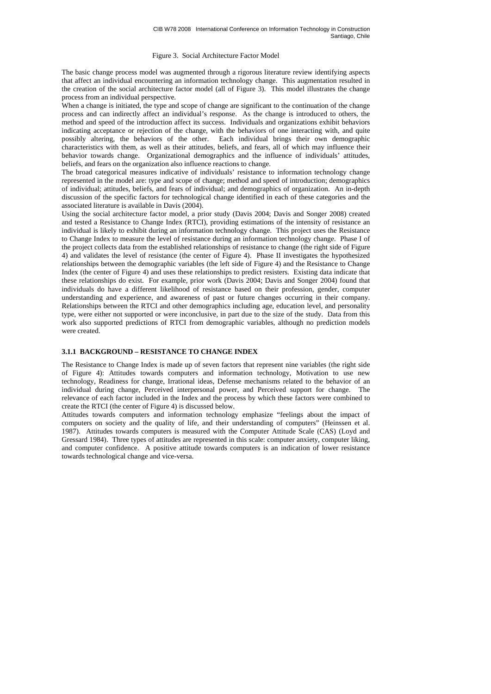#### Figure 3. Social Architecture Factor Model

The basic change process model was augmented through a rigorous literature review identifying aspects that affect an individual encountering an information technology change. This augmentation resulted in the creation of the social architecture factor model (all of Figure 3). This model illustrates the change process from an individual perspective.

When a change is initiated, the type and scope of change are significant to the continuation of the change process and can indirectly affect an individual's response. As the change is introduced to others, the method and speed of the introduction affect its success. Individuals and organizations exhibit behaviors indicating acceptance or rejection of the change, with the behaviors of one interacting with, and quite possibly altering, the behaviors of the other. Each individual brings their own demographic characteristics with them, as well as their attitudes, beliefs, and fears, all of which may influence their behavior towards change. Organizational demographics and the influence of individuals' attitudes, beliefs, and fears on the organization also influence reactions to change.

The broad categorical measures indicative of individuals' resistance to information technology change represented in the model are: type and scope of change; method and speed of introduction; demographics of individual; attitudes, beliefs, and fears of individual; and demographics of organization. An in-depth discussion of the specific factors for technological change identified in each of these categories and the associated literature is available in Davis (2004).

Using the social architecture factor model, a prior study (Davis 2004; Davis and Songer 2008) created and tested a Resistance to Change Index (RTCI), providing estimations of the intensity of resistance an individual is likely to exhibit during an information technology change. This project uses the Resistance to Change Index to measure the level of resistance during an information technology change. Phase I of the project collects data from the established relationships of resistance to change (the right side of Figure 4) and validates the level of resistance (the center of Figure 4). Phase II investigates the hypothesized relationships between the demographic variables (the left side of Figure 4) and the Resistance to Change Index (the center of Figure 4) and uses these relationships to predict resisters. Existing data indicate that these relationships do exist. For example, prior work (Davis 2004; Davis and Songer 2004) found that individuals do have a different likelihood of resistance based on their profession, gender, computer understanding and experience, and awareness of past or future changes occurring in their company. Relationships between the RTCI and other demographics including age, education level, and personality type, were either not supported or were inconclusive, in part due to the size of the study. Data from this work also supported predictions of RTCI from demographic variables, although no prediction models were created.

#### **3.1.1 BACKGROUND – RESISTANCE TO CHANGE INDEX**

The Resistance to Change Index is made up of seven factors that represent nine variables (the right side of Figure 4): Attitudes towards computers and information technology, Motivation to use new technology, Readiness for change, Irrational ideas, Defense mechanisms related to the behavior of an individual during change, Perceived interpersonal power, and Perceived support for change. The relevance of each factor included in the Index and the process by which these factors were combined to create the RTCI (the center of Figure 4) is discussed below.

Attitudes towards computers and information technology emphasize "feelings about the impact of computers on society and the quality of life, and their understanding of computers" (Heinssen et al. 1987). Attitudes towards computers is measured with the Computer Attitude Scale (CAS) (Loyd and Gressard 1984). Three types of attitudes are represented in this scale: computer anxiety, computer liking, and computer confidence. A positive attitude towards computers is an indication of lower resistance towards technological change and vice-versa.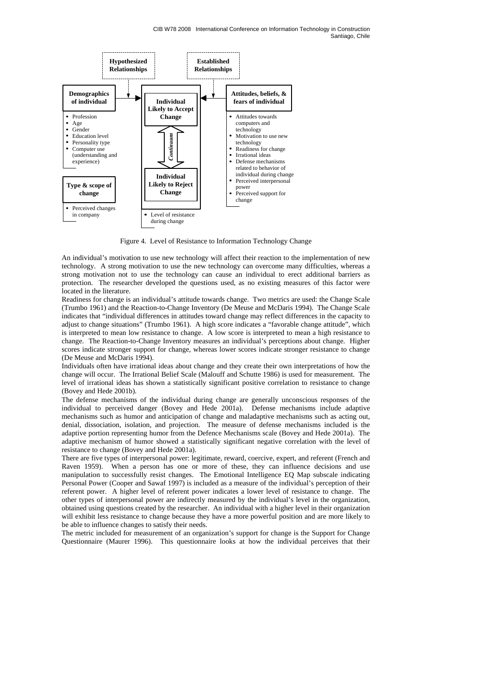

Figure 4. Level of Resistance to Information Technology Change

An individual's motivation to use new technology will affect their reaction to the implementation of new technology. A strong motivation to use the new technology can overcome many difficulties, whereas a strong motivation not to use the technology can cause an individual to erect additional barriers as protection. The researcher developed the questions used, as no existing measures of this factor were located in the literature.

Readiness for change is an individual's attitude towards change. Two metrics are used: the Change Scale (Trumbo 1961) and the Reaction-to-Change Inventory (De Meuse and McDaris 1994). The Change Scale indicates that "individual differences in attitudes toward change may reflect differences in the capacity to adjust to change situations" (Trumbo 1961). A high score indicates a "favorable change attitude", which is interpreted to mean low resistance to change. A low score is interpreted to mean a high resistance to change. The Reaction-to-Change Inventory measures an individual's perceptions about change. Higher scores indicate stronger support for change, whereas lower scores indicate stronger resistance to change (De Meuse and McDaris 1994).

Individuals often have irrational ideas about change and they create their own interpretations of how the change will occur. The Irrational Belief Scale (Malouff and Schutte 1986) is used for measurement. The level of irrational ideas has shown a statistically significant positive correlation to resistance to change (Bovey and Hede 2001b).

The defense mechanisms of the individual during change are generally unconscious responses of the individual to perceived danger (Bovey and Hede 2001a). Defense mechanisms include adaptive mechanisms such as humor and anticipation of change and maladaptive mechanisms such as acting out, denial, dissociation, isolation, and projection. The measure of defense mechanisms included is the adaptive portion representing humor from the Defence Mechanisms scale (Bovey and Hede 2001a). The adaptive mechanism of humor showed a statistically significant negative correlation with the level of resistance to change (Bovey and Hede 2001a).

There are five types of interpersonal power: legitimate, reward, coercive, expert, and referent (French and Raven 1959). When a person has one or more of these, they can influence decisions and use manipulation to successfully resist changes. The Emotional Intelligence EQ Map subscale indicating Personal Power (Cooper and Sawaf 1997) is included as a measure of the individual's perception of their referent power. A higher level of referent power indicates a lower level of resistance to change. The other types of interpersonal power are indirectly measured by the individual's level in the organization, obtained using questions created by the researcher. An individual with a higher level in their organization will exhibit less resistance to change because they have a more powerful position and are more likely to be able to influence changes to satisfy their needs.

The metric included for measurement of an organization's support for change is the Support for Change Questionnaire (Maurer 1996). This questionnaire looks at how the individual perceives that their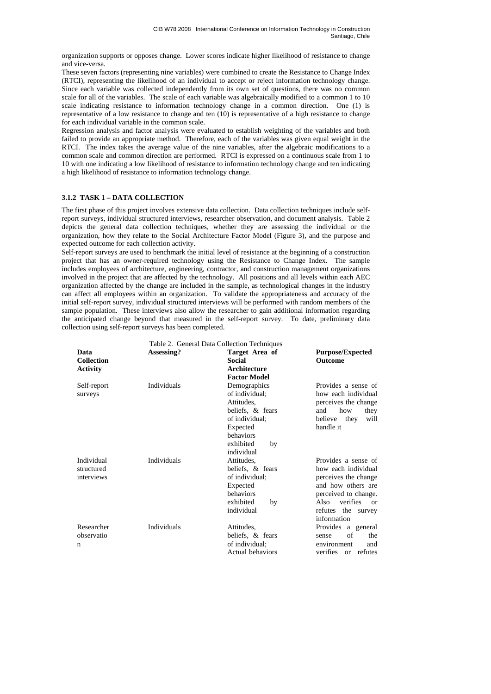organization supports or opposes change. Lower scores indicate higher likelihood of resistance to change and vice-versa.

These seven factors (representing nine variables) were combined to create the Resistance to Change Index (RTCI), representing the likelihood of an individual to accept or reject information technology change. Since each variable was collected independently from its own set of questions, there was no common scale for all of the variables. The scale of each variable was algebraically modified to a common 1 to 10 scale indicating resistance to information technology change in a common direction. One (1) is representative of a low resistance to change and ten (10) is representative of a high resistance to change for each individual variable in the common scale.

Regression analysis and factor analysis were evaluated to establish weighting of the variables and both failed to provide an appropriate method. Therefore, each of the variables was given equal weight in the RTCI. The index takes the average value of the nine variables, after the algebraic modifications to a common scale and common direction are performed. RTCI is expressed on a continuous scale from 1 to 10 with one indicating a low likelihood of resistance to information technology change and ten indicating a high likelihood of resistance to information technology change.

# **3.1.2 TASK 1 – DATA COLLECTION**

The first phase of this project involves extensive data collection. Data collection techniques include selfreport surveys, individual structured interviews, researcher observation, and document analysis. Table 2 depicts the general data collection techniques, whether they are assessing the individual or the organization, how they relate to the Social Architecture Factor Model (Figure 3), and the purpose and expected outcome for each collection activity.

Self-report surveys are used to benchmark the initial level of resistance at the beginning of a construction project that has an owner-required technology using the Resistance to Change Index. The sample includes employees of architecture, engineering, contractor, and construction management organizations involved in the project that are affected by the technology. All positions and all levels within each AEC organization affected by the change are included in the sample, as technological changes in the industry can affect all employees within an organization. To validate the appropriateness and accuracy of the initial self-report survey, individual structured interviews will be performed with random members of the sample population. These interviews also allow the researcher to gain additional information regarding the anticipated change beyond that measured in the self-report survey. To date, preliminary data collection using self-report surveys has been completed.

|                           | Table 2. General Data Collection Techniques |                        |                                  |  |
|---------------------------|---------------------------------------------|------------------------|----------------------------------|--|
| Data<br><b>Collection</b> | Assessing?                                  | Target Area of         | <b>Purpose/Expected</b>          |  |
|                           |                                             | Social<br>Architecture | <b>Outcome</b>                   |  |
| <b>Activity</b>           |                                             | <b>Factor Model</b>    |                                  |  |
| Self-report               | <b>Individuals</b>                          | Demographics           | Provides a sense of              |  |
| surveys                   |                                             | of individual:         | how each individual              |  |
|                           |                                             | Attitudes.             | perceives the change             |  |
|                           |                                             | beliefs, & fears       | how<br>and<br>they               |  |
|                           |                                             | of individual:         | believe<br>they<br>will          |  |
|                           |                                             | Expected               | handle it                        |  |
|                           |                                             | behaviors              |                                  |  |
|                           |                                             | exhibited<br>by        |                                  |  |
|                           |                                             | individual             |                                  |  |
| Individual                | <b>Individuals</b>                          | Attitudes.             | Provides a sense of              |  |
| structured                |                                             | beliefs, & fears       | how each individual              |  |
| interviews                |                                             | of individual:         | perceives the change             |  |
|                           |                                             | Expected               | and how others are               |  |
|                           |                                             | behaviors              | perceived to change.             |  |
|                           |                                             | exhibited<br>by        | Also<br>verifies<br>or           |  |
|                           |                                             | individual             | refutes the survey               |  |
|                           |                                             |                        | information                      |  |
| Researcher                | <b>Individuals</b>                          | Attitudes.             | Provides a general               |  |
| observatio                |                                             | beliefs, & fears       | of<br>the<br>sense               |  |
| n                         |                                             | of individual;         | environment<br>and               |  |
|                           |                                             | Actual behaviors       | verifies<br>refutes<br><b>or</b> |  |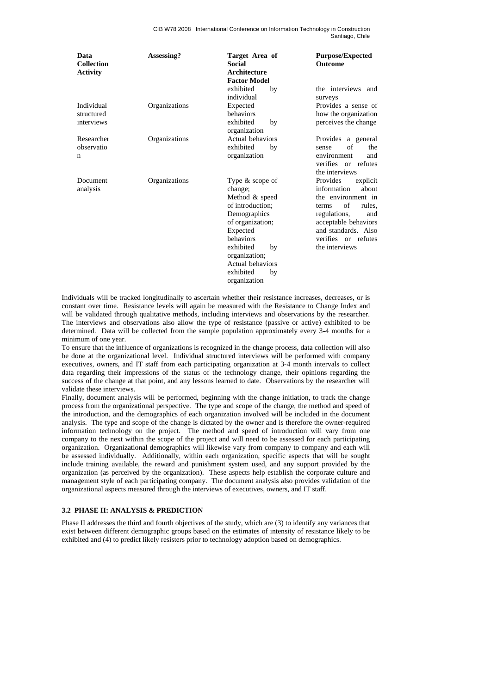CIB W78 2008 International Conference on Information Technology in Construction Santiago, Chile

| Data<br><b>Collection</b><br><b>Activity</b> | Assessing?    | Target Area of<br><b>Social</b><br>Architecture<br><b>Factor Model</b>                                                                                                                                                     | <b>Purpose/Expected</b><br><b>Outcome</b>                                                                                                                                                                  |
|----------------------------------------------|---------------|----------------------------------------------------------------------------------------------------------------------------------------------------------------------------------------------------------------------------|------------------------------------------------------------------------------------------------------------------------------------------------------------------------------------------------------------|
|                                              |               | exhibited<br>by<br>individual                                                                                                                                                                                              | the interviews and<br>surveys                                                                                                                                                                              |
| Individual<br>structured<br>interviews       | Organizations | Expected<br>behaviors<br>exhibited<br>by<br>organization                                                                                                                                                                   | Provides a sense of<br>how the organization<br>perceives the change                                                                                                                                        |
| Researcher<br>observatio<br>n                | Organizations | Actual behaviors<br>exhibited<br>by<br>organization                                                                                                                                                                        | Provides a general<br>of<br>the<br>sense<br>environment<br>and<br>verifies or refutes<br>the interviews                                                                                                    |
| Document<br>analysis                         | Organizations | Type $&$ scope of<br>change;<br>Method & speed<br>of introduction:<br>Demographics<br>of organization;<br>Expected<br>behaviors<br>exhibited<br>by<br>organization;<br>Actual behaviors<br>exhibited<br>by<br>organization | Provides<br>explicit<br>information<br>about<br>the environment in<br>of<br>rules,<br>terms<br>regulations,<br>and<br>acceptable behaviors<br>and standards. Also<br>verifies or refutes<br>the interviews |

Individuals will be tracked longitudinally to ascertain whether their resistance increases, decreases, or is constant over time. Resistance levels will again be measured with the Resistance to Change Index and will be validated through qualitative methods, including interviews and observations by the researcher. The interviews and observations also allow the type of resistance (passive or active) exhibited to be determined. Data will be collected from the sample population approximately every 3-4 months for a minimum of one year.

To ensure that the influence of organizations is recognized in the change process, data collection will also be done at the organizational level. Individual structured interviews will be performed with company executives, owners, and IT staff from each participating organization at 3-4 month intervals to collect data regarding their impressions of the status of the technology change, their opinions regarding the success of the change at that point, and any lessons learned to date. Observations by the researcher will validate these interviews.

Finally, document analysis will be performed, beginning with the change initiation, to track the change process from the organizational perspective. The type and scope of the change, the method and speed of the introduction, and the demographics of each organization involved will be included in the document analysis. The type and scope of the change is dictated by the owner and is therefore the owner-required information technology on the project. The method and speed of introduction will vary from one company to the next within the scope of the project and will need to be assessed for each participating organization. Organizational demographics will likewise vary from company to company and each will be assessed individually. Additionally, within each organization, specific aspects that will be sought include training available, the reward and punishment system used, and any support provided by the organization (as perceived by the organization). These aspects help establish the corporate culture and management style of each participating company. The document analysis also provides validation of the organizational aspects measured through the interviews of executives, owners, and IT staff.

### **3.2 PHASE II: ANALYSIS & PREDICTION**

Phase II addresses the third and fourth objectives of the study, which are (3) to identify any variances that exist between different demographic groups based on the estimates of intensity of resistance likely to be exhibited and (4) to predict likely resisters prior to technology adoption based on demographics.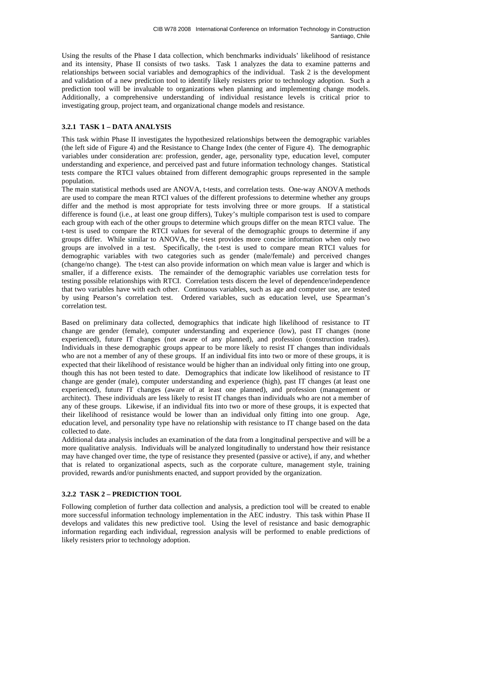Using the results of the Phase I data collection, which benchmarks individuals' likelihood of resistance and its intensity, Phase II consists of two tasks. Task 1 analyzes the data to examine patterns and relationships between social variables and demographics of the individual. Task 2 is the development and validation of a new prediction tool to identify likely resisters prior to technology adoption. Such a prediction tool will be invaluable to organizations when planning and implementing change models. Additionally, a comprehensive understanding of individual resistance levels is critical prior to investigating group, project team, and organizational change models and resistance.

# **3.2.1 TASK 1 – DATA ANALYSIS**

This task within Phase II investigates the hypothesized relationships between the demographic variables (the left side of Figure 4) and the Resistance to Change Index (the center of Figure 4). The demographic variables under consideration are: profession, gender, age, personality type, education level, computer understanding and experience, and perceived past and future information technology changes. Statistical tests compare the RTCI values obtained from different demographic groups represented in the sample population.

The main statistical methods used are ANOVA, t-tests, and correlation tests. One-way ANOVA methods are used to compare the mean RTCI values of the different professions to determine whether any groups differ and the method is most appropriate for tests involving three or more groups. If a statistical difference is found (i.e., at least one group differs), Tukey's multiple comparison test is used to compare each group with each of the other groups to determine which groups differ on the mean RTCI value. The t-test is used to compare the RTCI values for several of the demographic groups to determine if any groups differ. While similar to ANOVA, the t-test provides more concise information when only two groups are involved in a test. Specifically, the t-test is used to compare mean RTCI values for demographic variables with two categories such as gender (male/female) and perceived changes (change/no change). The t-test can also provide information on which mean value is larger and which is smaller, if a difference exists. The remainder of the demographic variables use correlation tests for testing possible relationships with RTCI. Correlation tests discern the level of dependence/independence that two variables have with each other. Continuous variables, such as age and computer use, are tested by using Pearson's correlation test. Ordered variables, such as education level, use Spearman's correlation test.

Based on preliminary data collected, demographics that indicate high likelihood of resistance to IT change are gender (female), computer understanding and experience (low), past IT changes (none experienced), future IT changes (not aware of any planned), and profession (construction trades). Individuals in these demographic groups appear to be more likely to resist IT changes than individuals who are not a member of any of these groups. If an individual fits into two or more of these groups, it is expected that their likelihood of resistance would be higher than an individual only fitting into one group, though this has not been tested to date. Demographics that indicate low likelihood of resistance to IT change are gender (male), computer understanding and experience (high), past IT changes (at least one experienced), future IT changes (aware of at least one planned), and profession (management or architect). These individuals are less likely to resist IT changes than individuals who are not a member of any of these groups. Likewise, if an individual fits into two or more of these groups, it is expected that their likelihood of resistance would be lower than an individual only fitting into one group. Age, education level, and personality type have no relationship with resistance to IT change based on the data collected to date.

Additional data analysis includes an examination of the data from a longitudinal perspective and will be a more qualitative analysis. Individuals will be analyzed longitudinally to understand how their resistance may have changed over time, the type of resistance they presented (passive or active), if any, and whether that is related to organizational aspects, such as the corporate culture, management style, training provided, rewards and/or punishments enacted, and support provided by the organization.

## **3.2.2 TASK 2 – PREDICTION TOOL**

Following completion of further data collection and analysis, a prediction tool will be created to enable more successful information technology implementation in the AEC industry. This task within Phase II develops and validates this new predictive tool. Using the level of resistance and basic demographic information regarding each individual, regression analysis will be performed to enable predictions of likely resisters prior to technology adoption.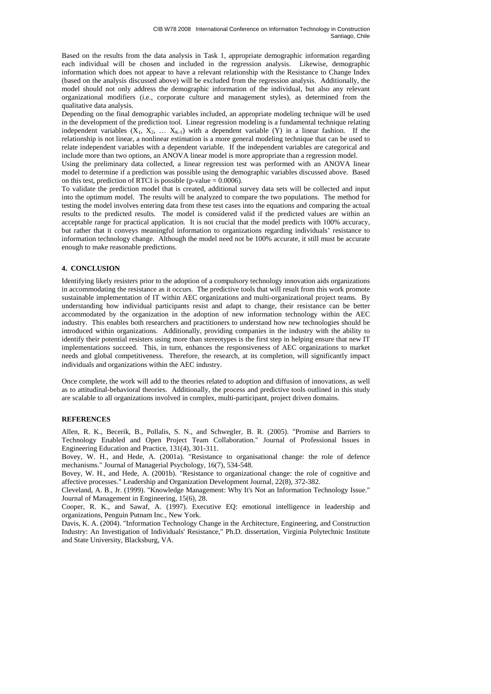Based on the results from the data analysis in Task 1, appropriate demographic information regarding each individual will be chosen and included in the regression analysis. Likewise, demographic information which does not appear to have a relevant relationship with the Resistance to Change Index (based on the analysis discussed above) will be excluded from the regression analysis. Additionally, the model should not only address the demographic information of the individual, but also any relevant organizational modifiers (i.e., corporate culture and management styles), as determined from the qualitative data analysis.

Depending on the final demographic variables included, an appropriate modeling technique will be used in the development of the prediction tool. Linear regression modeling is a fundamental technique relating independent variables  $(X_1, X_2, \ldots X_{K-1})$  with a dependent variable  $(Y)$  in a linear fashion. If the relationship is not linear, a nonlinear estimation is a more general modeling technique that can be used to relate independent variables with a dependent variable. If the independent variables are categorical and include more than two options, an ANOVA linear model is more appropriate than a regression model.

Using the preliminary data collected, a linear regression test was performed with an ANOVA linear model to determine if a prediction was possible using the demographic variables discussed above. Based on this test, prediction of RTCI is possible (p-value  $= 0.0006$ ).

To validate the prediction model that is created, additional survey data sets will be collected and input into the optimum model. The results will be analyzed to compare the two populations. The method for testing the model involves entering data from these test cases into the equations and comparing the actual results to the predicted results. The model is considered valid if the predicted values are within an acceptable range for practical application. It is not crucial that the model predicts with 100% accuracy, but rather that it conveys meaningful information to organizations regarding individuals' resistance to information technology change. Although the model need not be 100% accurate, it still must be accurate enough to make reasonable predictions.

# **4. CONCLUSION**

Identifying likely resisters prior to the adoption of a compulsory technology innovation aids organizations in accommodating the resistance as it occurs. The predictive tools that will result from this work promote sustainable implementation of IT within AEC organizations and multi-organizational project teams. By understanding how individual participants resist and adapt to change, their resistance can be better accommodated by the organization in the adoption of new information technology within the AEC industry. This enables both researchers and practitioners to understand how new technologies should be introduced within organizations. Additionally, providing companies in the industry with the ability to identify their potential resisters using more than stereotypes is the first step in helping ensure that new IT implementations succeed. This, in turn, enhances the responsiveness of AEC organizations to market needs and global competitiveness. Therefore, the research, at its completion, will significantly impact individuals and organizations within the AEC industry.

Once complete, the work will add to the theories related to adoption and diffusion of innovations, as well as to attitudinal-behavioral theories. Additionally, the process and predictive tools outlined in this study are scalable to all organizations involved in complex, multi-participant, project driven domains.

### **REFERENCES**

Allen, R. K., Becerik, B., Pollalis, S. N., and Schwegler, B. R. (2005). "Promise and Barriers to Technology Enabled and Open Project Team Collaboration." Journal of Professional Issues in Engineering Education and Practice, 131(4), 301-311.

Bovey, W. H., and Hede, A. (2001a). "Resistance to organisational change: the role of defence mechanisms." Journal of Managerial Psychology, 16(7), 534-548.

Bovey, W. H., and Hede, A. (2001b). "Resistance to organizational change: the role of cognitive and affective processes." Leadership and Organization Development Journal, 22(8), 372-382.

Cleveland, A. B., Jr. (1999). "Knowledge Management: Why It's Not an Information Technology Issue." Journal of Management in Engineering, 15(6), 28.

Cooper, R. K., and Sawaf, A. (1997). Executive EQ: emotional intelligence in leadership and organizations, Penguin Putnam Inc., New York.

Davis, K. A. (2004). "Information Technology Change in the Architecture, Engineering, and Construction Industry: An Investigation of Individuals' Resistance," Ph.D. dissertation, Virginia Polytechnic Institute and State University, Blacksburg, VA.